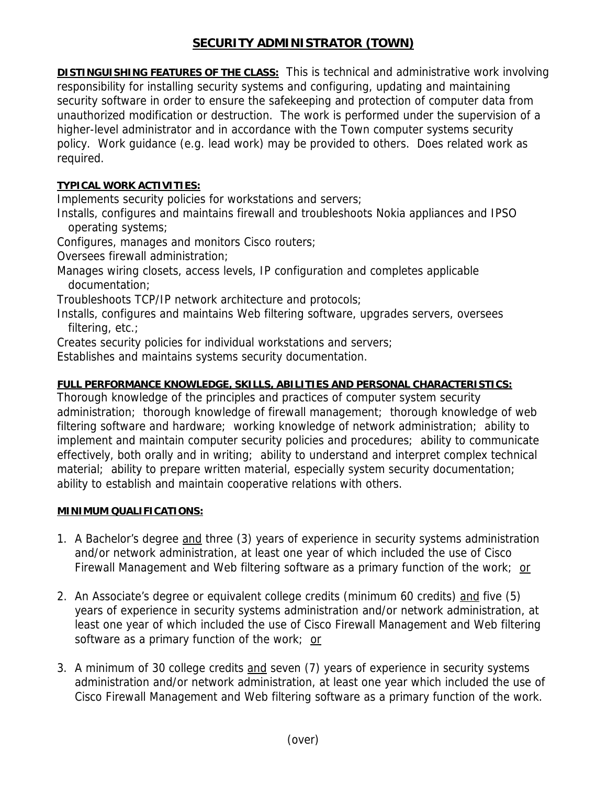# **SECURITY ADMINISTRATOR (TOWN)**

**DISTINGUISHING FEATURES OF THE CLASS:** This is technical and administrative work involving responsibility for installing security systems and configuring, updating and maintaining security software in order to ensure the safekeeping and protection of computer data from unauthorized modification or destruction. The work is performed under the supervision of a higher-level administrator and in accordance with the Town computer systems security policy. Work guidance (e.g. lead work) may be provided to others. Does related work as required.

## **TYPICAL WORK ACTIVITIES:**

Implements security policies for workstations and servers;

Installs, configures and maintains firewall and troubleshoots Nokia appliances and IPSO operating systems;

Configures, manages and monitors Cisco routers;

Oversees firewall administration;

Manages wiring closets, access levels, IP configuration and completes applicable documentation;

Troubleshoots TCP/IP network architecture and protocols;

Installs, configures and maintains Web filtering software, upgrades servers, oversees filtering, etc.;

Creates security policies for individual workstations and servers;

Establishes and maintains systems security documentation.

## **FULL PERFORMANCE KNOWLEDGE, SKILLS, ABILITIES AND PERSONAL CHARACTERISTICS:**

Thorough knowledge of the principles and practices of computer system security administration; thorough knowledge of firewall management; thorough knowledge of web filtering software and hardware; working knowledge of network administration; ability to implement and maintain computer security policies and procedures; ability to communicate effectively, both orally and in writing; ability to understand and interpret complex technical material; ability to prepare written material, especially system security documentation; ability to establish and maintain cooperative relations with others.

## **MINIMUM QUALIFICATIONS:**

- 1. A Bachelor's degree and three (3) years of experience in security systems administration and/or network administration, at least one year of which included the use of Cisco Firewall Management and Web filtering software as a primary function of the work; or
- 2. An Associate's degree or equivalent college credits (minimum 60 credits) and five (5) years of experience in security systems administration and/or network administration, at least one year of which included the use of Cisco Firewall Management and Web filtering software as a primary function of the work; or
- 3. A minimum of 30 college credits and seven (7) years of experience in security systems administration and/or network administration, at least one year which included the use of Cisco Firewall Management and Web filtering software as a primary function of the work.